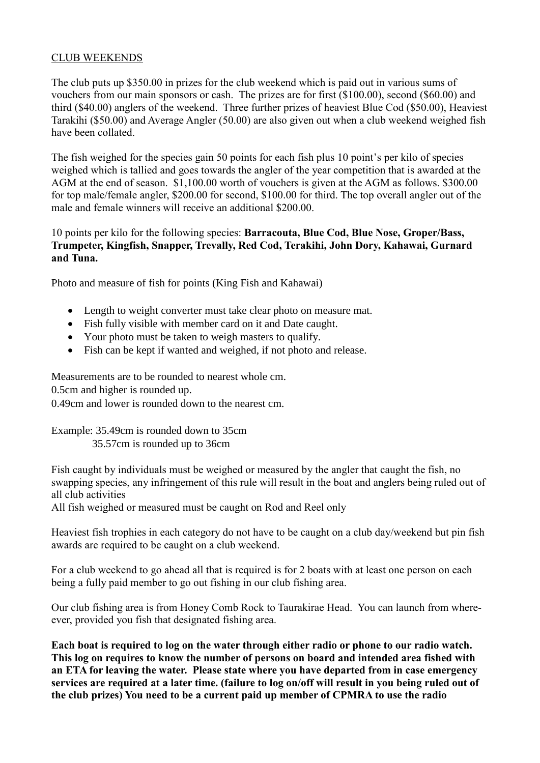## CLUB WEEKENDS

The club puts up \$350.00 in prizes for the club weekend which is paid out in various sums of vouchers from our main sponsors or cash. The prizes are for first (\$100.00), second (\$60.00) and third (\$40.00) anglers of the weekend. Three further prizes of heaviest Blue Cod (\$50.00), Heaviest Tarakihi (\$50.00) and Average Angler (50.00) are also given out when a club weekend weighed fish have been collated.

The fish weighed for the species gain 50 points for each fish plus 10 point's per kilo of species weighed which is tallied and goes towards the angler of the year competition that is awarded at the AGM at the end of season. \$1,100.00 worth of vouchers is given at the AGM as follows. \$300.00 for top male/female angler, \$200.00 for second, \$100.00 for third. The top overall angler out of the male and female winners will receive an additional \$200.00.

## 10 points per kilo for the following species: **Barracouta, Blue Cod, Blue Nose, Groper/Bass, Trumpeter, Kingfish, Snapper, Trevally, Red Cod, Terakihi, John Dory, Kahawai, Gurnard and Tuna.**

Photo and measure of fish for points (King Fish and Kahawai)

- Length to weight converter must take clear photo on measure mat.
- Fish fully visible with member card on it and Date caught.
- Your photo must be taken to weigh masters to qualify.
- Fish can be kept if wanted and weighed, if not photo and release.

Measurements are to be rounded to nearest whole cm.

0.5cm and higher is rounded up.

0.49cm and lower is rounded down to the nearest cm.

Example: 35.49cm is rounded down to 35cm 35.57cm is rounded up to 36cm

Fish caught by individuals must be weighed or measured by the angler that caught the fish, no swapping species, any infringement of this rule will result in the boat and anglers being ruled out of all club activities

All fish weighed or measured must be caught on Rod and Reel only

Heaviest fish trophies in each category do not have to be caught on a club day/weekend but pin fish awards are required to be caught on a club weekend.

For a club weekend to go ahead all that is required is for 2 boats with at least one person on each being a fully paid member to go out fishing in our club fishing area.

Our club fishing area is from Honey Comb Rock to Taurakirae Head. You can launch from whereever, provided you fish that designated fishing area.

**Each boat is required to log on the water through either radio or phone to our radio watch. This log on requires to know the number of persons on board and intended area fished with an ETA for leaving the water. Please state where you have departed from in case emergency services are required at a later time. (failure to log on/off will result in you being ruled out of the club prizes) You need to be a current paid up member of CPMRA to use the radio**